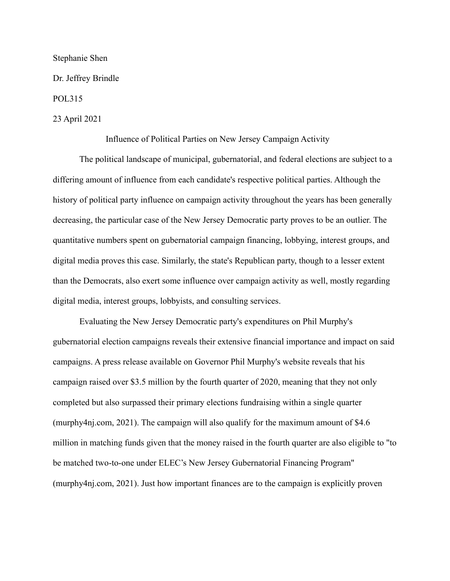Stephanie Shen

Dr. Jeffrey Brindle

POL315

## 23 April 2021

Influence of Political Parties on New Jersey Campaign Activity

The political landscape of municipal, gubernatorial, and federal elections are subject to a differing amount of influence from each candidate's respective political parties. Although the history of political party influence on campaign activity throughout the years has been generally decreasing, the particular case of the New Jersey Democratic party proves to be an outlier. The quantitative numbers spent on gubernatorial campaign financing, lobbying, interest groups, and digital media proves this case. Similarly, the state's Republican party, though to a lesser extent than the Democrats, also exert some influence over campaign activity as well, mostly regarding digital media, interest groups, lobbyists, and consulting services.

Evaluating the New Jersey Democratic party's expenditures on Phil Murphy's gubernatorial election campaigns reveals their extensive financial importance and impact on said campaigns. A press release available on Governor Phil Murphy's website reveals that his campaign raised over \$3.5 million by the fourth quarter of 2020, meaning that they not only completed but also surpassed their primary elections fundraising within a single quarter (murphy4nj.com, 2021). The campaign will also qualify for the maximum amount of \$4.6 million in matching funds given that the money raised in the fourth quarter are also eligible to "to be matched two-to-one under ELEC's New Jersey Gubernatorial Financing Program" (murphy4nj.com, 2021). Just how important finances are to the campaign is explicitly proven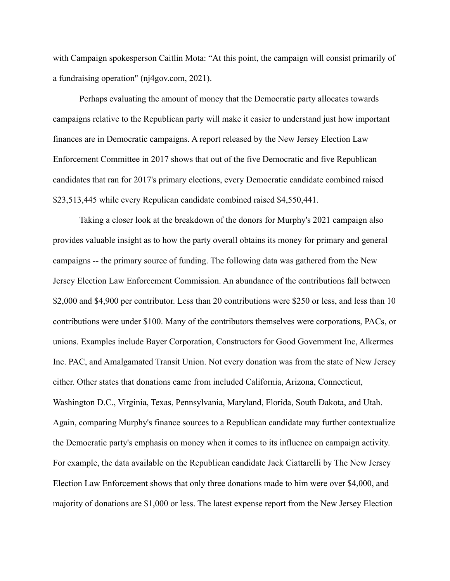with Campaign spokesperson Caitlin Mota: "At this point, the campaign will consist primarily of a fundraising operation" (nj4gov.com, 2021).

Perhaps evaluating the amount of money that the Democratic party allocates towards campaigns relative to the Republican party will make it easier to understand just how important finances are in Democratic campaigns. A report released by the New Jersey Election Law Enforcement Committee in 2017 shows that out of the five Democratic and five Republican candidates that ran for 2017's primary elections, every Democratic candidate combined raised \$23,513,445 while every Repulican candidate combined raised \$4,550,441.

Taking a closer look at the breakdown of the donors for Murphy's 2021 campaign also provides valuable insight as to how the party overall obtains its money for primary and general campaigns -- the primary source of funding. The following data was gathered from the New Jersey Election Law Enforcement Commission. An abundance of the contributions fall between \$2,000 and \$4,900 per contributor. Less than 20 contributions were \$250 or less, and less than 10 contributions were under \$100. Many of the contributors themselves were corporations, PACs, or unions. Examples include Bayer Corporation, Constructors for Good Government Inc, Alkermes Inc. PAC, and Amalgamated Transit Union. Not every donation was from the state of New Jersey either. Other states that donations came from included California, Arizona, Connecticut, Washington D.C., Virginia, Texas, Pennsylvania, Maryland, Florida, South Dakota, and Utah. Again, comparing Murphy's finance sources to a Republican candidate may further contextualize the Democratic party's emphasis on money when it comes to its influence on campaign activity. For example, the data available on the Republican candidate Jack Ciattarelli by The New Jersey Election Law Enforcement shows that only three donations made to him were over \$4,000, and majority of donations are \$1,000 or less. The latest expense report from the New Jersey Election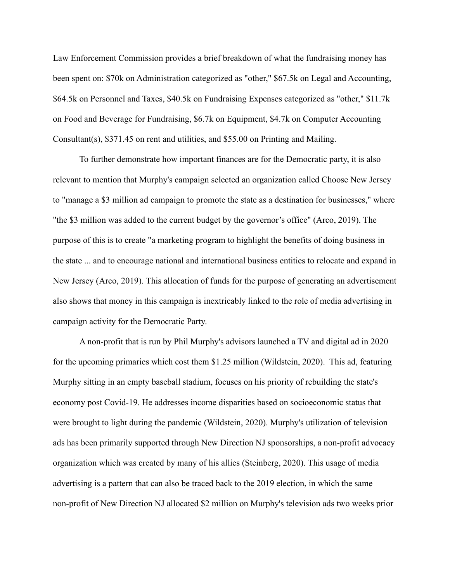Law Enforcement Commission provides a brief breakdown of what the fundraising money has been spent on: \$70k on Administration categorized as "other," \$67.5k on Legal and Accounting, \$64.5k on Personnel and Taxes, \$40.5k on Fundraising Expenses categorized as "other," \$11.7k on Food and Beverage for Fundraising, \$6.7k on Equipment, \$4.7k on Computer Accounting Consultant(s), \$371.45 on rent and utilities, and \$55.00 on Printing and Mailing.

To further demonstrate how important finances are for the Democratic party, it is also relevant to mention that Murphy's campaign selected an organization called Choose New Jersey to "manage a \$3 million ad campaign to promote the state as a destination for businesses," where "the \$3 million was added to the current budget by the governor's office" (Arco, 2019). The purpose of this is to create "a marketing program to highlight the benefits of doing business in the state ... and to encourage national and international business entities to relocate and expand in New Jersey (Arco, 2019). This allocation of funds for the purpose of generating an advertisement also shows that money in this campaign is inextricably linked to the role of media advertising in campaign activity for the Democratic Party.

A non-profit that is run by Phil Murphy's advisors launched a TV and digital ad in 2020 for the upcoming primaries which cost them \$1.25 million (Wildstein, 2020). This ad, featuring Murphy sitting in an empty baseball stadium, focuses on his priority of rebuilding the state's economy post Covid-19. He addresses income disparities based on socioeconomic status that were brought to light during the pandemic (Wildstein, 2020). Murphy's utilization of television ads has been primarily supported through New Direction NJ sponsorships, a non-profit advocacy organization which was created by many of his allies (Steinberg, 2020). This usage of media advertising is a pattern that can also be traced back to the 2019 election, in which the same non-profit of New Direction NJ allocated \$2 million on Murphy's television ads two weeks prior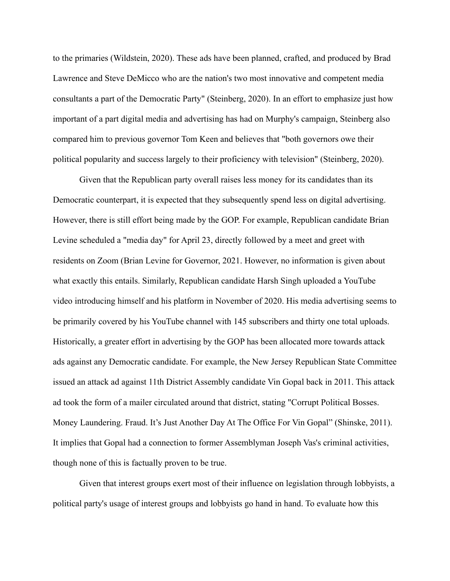to the primaries (Wildstein, 2020). These ads have been planned, crafted, and produced by Brad Lawrence and Steve DeMicco who are the nation's two most innovative and competent media consultants a part of the Democratic Party" (Steinberg, 2020). In an effort to emphasize just how important of a part digital media and advertising has had on Murphy's campaign, Steinberg also compared him to previous governor Tom Keen and believes that "both governors owe their political popularity and success largely to their proficiency with television" (Steinberg, 2020).

Given that the Republican party overall raises less money for its candidates than its Democratic counterpart, it is expected that they subsequently spend less on digital advertising. However, there is still effort being made by the GOP. For example, Republican candidate Brian Levine scheduled a "media day" for April 23, directly followed by a meet and greet with residents on Zoom (Brian Levine for Governor, 2021. However, no information is given about what exactly this entails. Similarly, Republican candidate Harsh Singh uploaded a YouTube video introducing himself and his platform in November of 2020. His media advertising seems to be primarily covered by his YouTube channel with 145 subscribers and thirty one total uploads. Historically, a greater effort in advertising by the GOP has been allocated more towards attack ads against any Democratic candidate. For example, the New Jersey Republican State Committee issued an attack ad against 11th District Assembly candidate Vin Gopal back in 2011. This attack ad took the form of a mailer circulated around that district, stating "Corrupt Political Bosses. Money Laundering. Fraud. It's Just Another Day At The Office For Vin Gopal" (Shinske, 2011). It implies that Gopal had a connection to former Assemblyman Joseph Vas's criminal activities, though none of this is factually proven to be true.

Given that interest groups exert most of their influence on legislation through lobbyists, a political party's usage of interest groups and lobbyists go hand in hand. To evaluate how this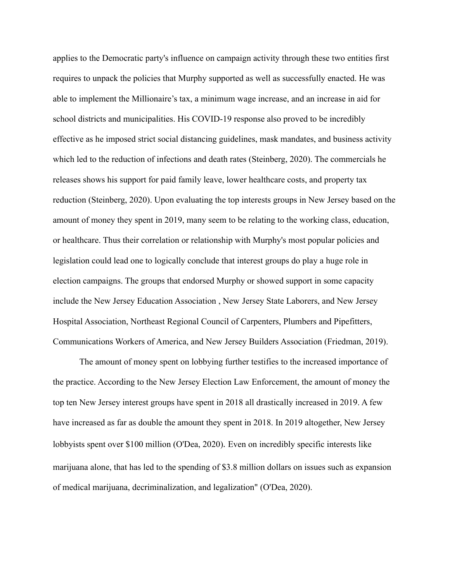applies to the Democratic party's influence on campaign activity through these two entities first requires to unpack the policies that Murphy supported as well as successfully enacted. He was able to implement the Millionaire's tax, a minimum wage increase, and an increase in aid for school districts and municipalities. His COVID-19 response also proved to be incredibly effective as he imposed strict social distancing guidelines, mask mandates, and business activity which led to the reduction of infections and death rates (Steinberg, 2020). The commercials he releases shows his support for paid family leave, lower healthcare costs, and property tax reduction (Steinberg, 2020). Upon evaluating the top interests groups in New Jersey based on the amount of money they spent in 2019, many seem to be relating to the working class, education, or healthcare. Thus their correlation or relationship with Murphy's most popular policies and legislation could lead one to logically conclude that interest groups do play a huge role in election campaigns. The groups that endorsed Murphy or showed support in some capacity include the New Jersey Education Association , New Jersey State Laborers, and New Jersey Hospital Association, Northeast Regional Council of Carpenters, Plumbers and Pipefitters, Communications Workers of America, and New Jersey Builders Association (Friedman, 2019).

The amount of money spent on lobbying further testifies to the increased importance of the practice. According to the New Jersey Election Law Enforcement, the amount of money the top ten New Jersey interest groups have spent in 2018 all drastically increased in 2019. A few have increased as far as double the amount they spent in 2018. In 2019 altogether, New Jersey lobbyists spent over \$100 million (O'Dea, 2020). Even on incredibly specific interests like marijuana alone, that has led to the spending of \$3.8 million dollars on issues such as expansion of medical marijuana, decriminalization, and legalization" (O'Dea, 2020).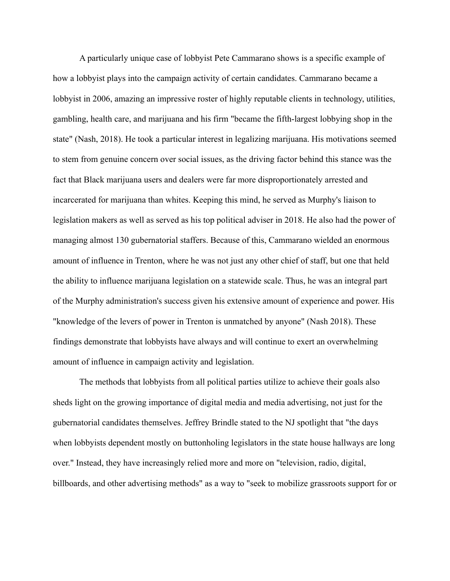A particularly unique case of lobbyist Pete Cammarano shows is a specific example of how a lobbyist plays into the campaign activity of certain candidates. Cammarano became a lobbyist in 2006, amazing an impressive roster of highly reputable clients in technology, utilities, gambling, health care, and marijuana and his firm "became the fifth-largest lobbying shop in the state" (Nash, 2018). He took a particular interest in legalizing marijuana. His motivations seemed to stem from genuine concern over social issues, as the driving factor behind this stance was the fact that Black marijuana users and dealers were far more disproportionately arrested and incarcerated for marijuana than whites. Keeping this mind, he served as Murphy's liaison to legislation makers as well as served as his top political adviser in 2018. He also had the power of managing almost 130 gubernatorial staffers. Because of this, Cammarano wielded an enormous amount of influence in Trenton, where he was not just any other chief of staff, but one that held the ability to influence marijuana legislation on a statewide scale. Thus, he was an integral part of the Murphy administration's success given his extensive amount of experience and power. His "knowledge of the levers of power in Trenton is unmatched by anyone" (Nash 2018). These findings demonstrate that lobbyists have always and will continue to exert an overwhelming amount of influence in campaign activity and legislation.

The methods that lobbyists from all political parties utilize to achieve their goals also sheds light on the growing importance of digital media and media advertising, not just for the gubernatorial candidates themselves. Jeffrey Brindle stated to the NJ spotlight that "the days when lobbyists dependent mostly on buttonholing legislators in the state house hallways are long over." Instead, they have increasingly relied more and more on "television, radio, digital, billboards, and other advertising methods" as a way to "seek to mobilize grassroots support for or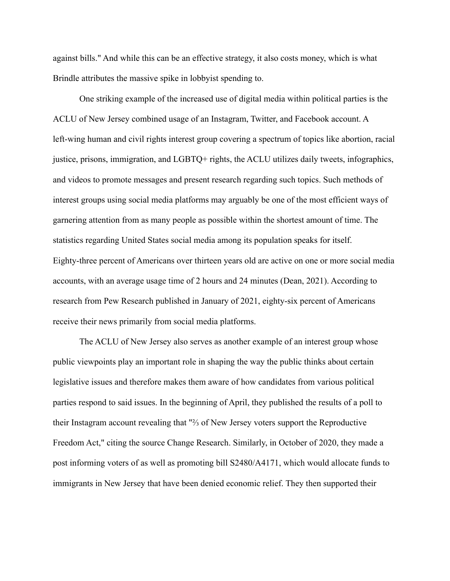against bills." And while this can be an effective strategy, it also costs money, which is what Brindle attributes the massive spike in lobbyist spending to.

One striking example of the increased use of digital media within political parties is the ACLU of New Jersey combined usage of an Instagram, Twitter, and Facebook account. A left-wing human and civil rights interest group covering a spectrum of topics like abortion, racial justice, prisons, immigration, and LGBTQ+ rights, the ACLU utilizes daily tweets, infographics, and videos to promote messages and present research regarding such topics. Such methods of interest groups using social media platforms may arguably be one of the most efficient ways of garnering attention from as many people as possible within the shortest amount of time. The statistics regarding United States social media among its population speaks for itself. Eighty-three percent of Americans over thirteen years old are active on one or more social media accounts, with an average usage time of 2 hours and 24 minutes (Dean, 2021). According to research from Pew Research published in January of 2021, eighty-six percent of Americans receive their news primarily from social media platforms.

The ACLU of New Jersey also serves as another example of an interest group whose public viewpoints play an important role in shaping the way the public thinks about certain legislative issues and therefore makes them aware of how candidates from various political parties respond to said issues. In the beginning of April, they published the results of a poll to their Instagram account revealing that "⅔ of New Jersey voters support the Reproductive Freedom Act," citing the source Change Research. Similarly, in October of 2020, they made a post informing voters of as well as promoting bill S2480/A4171, which would allocate funds to immigrants in New Jersey that have been denied economic relief. They then supported their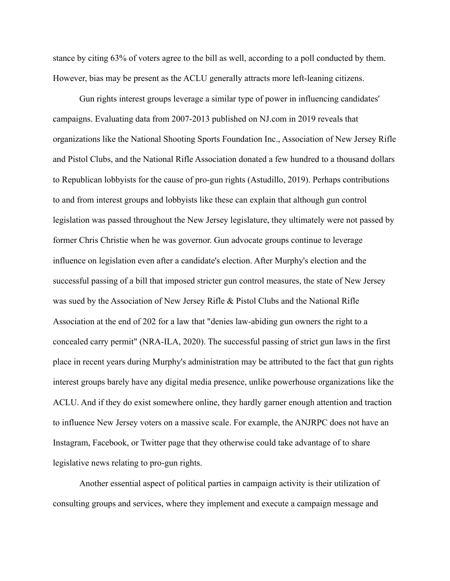stance by citing 63% of voters agree to the bill as well, according to a poll conducted by them. However, bias may be present as the ACLU generally attracts more left-leaning citizens.

Gun rights interest groups leverage a similar type of power in influencing candidates' campaigns. Evaluating data from 2007-2013 published on NJ.com in 2019 reveals that organizations like the National Shooting Sports Foundation Inc., Association of New Jersey Rifle and Pistol Clubs, and the National Rifle Association donated a few hundred to a thousand dollars to Republican lobbyists for the cause of pro-gun rights (Astudillo, 2019). Perhaps contributions to and from interest groups and lobbyists like these can explain that although gun control legislation was passed throughout the New Jersey legislature, they ultimately were not passed by former Chris Christie when he was governor. Gun advocate groups continue to leverage influence on legislation even after a candidate's election. After Murphy's election and the successful passing of a bill that imposed stricter gun control measures, the state of New Jersey was sued by the Association of New Jersey Rifle & Pistol Clubs and the National Rifle Association at the end of 202 for a law that "denies law-abiding gun owners the right to a concealed carry permit" (NRA-ILA, 2020). The successful passing of strict gun laws in the first place in recent years during Murphy's administration may be attributed to the fact that gun rights interest groups barely have any digital media presence, unlike powerhouse organizations like the ACLU. And if they do exist somewhere online, they hardly garner enough attention and traction to influence New Jersey voters on a massive scale. For example, the ANJRPC does not have an Instagram, Facebook, or Twitter page that they otherwise could take advantage of to share legislative news relating to pro-gun rights.

Another essential aspect of political parties in campaign activity is their utilization of consulting groups and services, where they implement and execute a campaign message and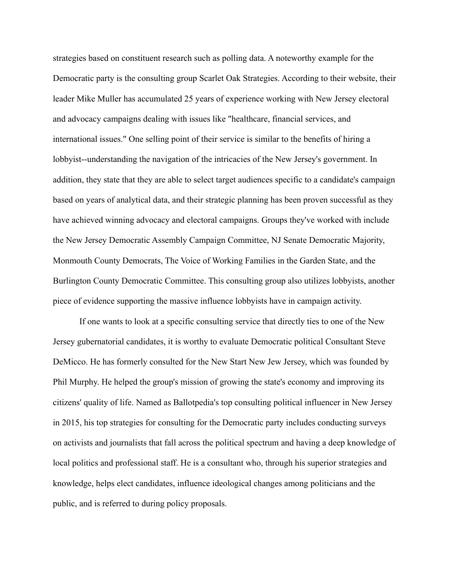strategies based on constituent research such as polling data. A noteworthy example for the Democratic party is the consulting group Scarlet Oak Strategies. According to their website, their leader Mike Muller has accumulated 25 years of experience working with New Jersey electoral and advocacy campaigns dealing with issues like "healthcare, financial services, and international issues." One selling point of their service is similar to the benefits of hiring a lobbyist--understanding the navigation of the intricacies of the New Jersey's government. In addition, they state that they are able to select target audiences specific to a candidate's campaign based on years of analytical data, and their strategic planning has been proven successful as they have achieved winning advocacy and electoral campaigns. Groups they've worked with include the New Jersey Democratic Assembly Campaign Committee, NJ Senate Democratic Majority, Monmouth County Democrats, The Voice of Working Families in the Garden State, and the Burlington County Democratic Committee. This consulting group also utilizes lobbyists, another piece of evidence supporting the massive influence lobbyists have in campaign activity.

If one wants to look at a specific consulting service that directly ties to one of the New Jersey gubernatorial candidates, it is worthy to evaluate Democratic political Consultant Steve DeMicco. He has formerly consulted for the New Start New Jew Jersey, which was founded by Phil Murphy. He helped the group's mission of growing the state's economy and improving its citizens' quality of life. Named as Ballotpedia's top consulting political influencer in New Jersey in 2015, his top strategies for consulting for the Democratic party includes conducting surveys on activists and journalists that fall across the political spectrum and having a deep knowledge of local politics and professional staff. He is a consultant who, through his superior strategies and knowledge, helps elect candidates, influence ideological changes among politicians and the public, and is referred to during policy proposals.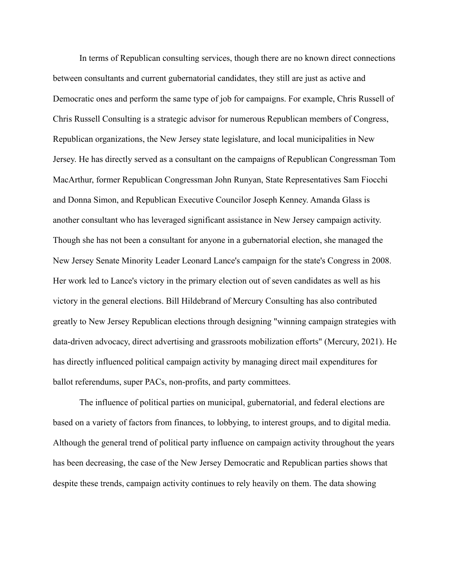In terms of Republican consulting services, though there are no known direct connections between consultants and current gubernatorial candidates, they still are just as active and Democratic ones and perform the same type of job for campaigns. For example, Chris Russell of Chris Russell Consulting is a strategic advisor for numerous Republican members of Congress, Republican organizations, the New Jersey state legislature, and local municipalities in New Jersey. He has directly served as a consultant on the campaigns of Republican Congressman Tom MacArthur, former Republican Congressman John Runyan, State Representatives Sam Fiocchi and Donna Simon, and Republican Executive Councilor Joseph Kenney. Amanda Glass is another consultant who has leveraged significant assistance in New Jersey campaign activity. Though she has not been a consultant for anyone in a gubernatorial election, she managed the New Jersey Senate Minority Leader Leonard Lance's campaign for the state's Congress in 2008. Her work led to Lance's victory in the primary election out of seven candidates as well as his victory in the general elections. Bill Hildebrand of Mercury Consulting has also contributed greatly to New Jersey Republican elections through designing "winning campaign strategies with data-driven advocacy, direct advertising and grassroots mobilization efforts" (Mercury, 2021). He has directly influenced political campaign activity by managing direct mail expenditures for ballot referendums, super PACs, non-profits, and party committees.

The influence of political parties on municipal, gubernatorial, and federal elections are based on a variety of factors from finances, to lobbying, to interest groups, and to digital media. Although the general trend of political party influence on campaign activity throughout the years has been decreasing, the case of the New Jersey Democratic and Republican parties shows that despite these trends, campaign activity continues to rely heavily on them. The data showing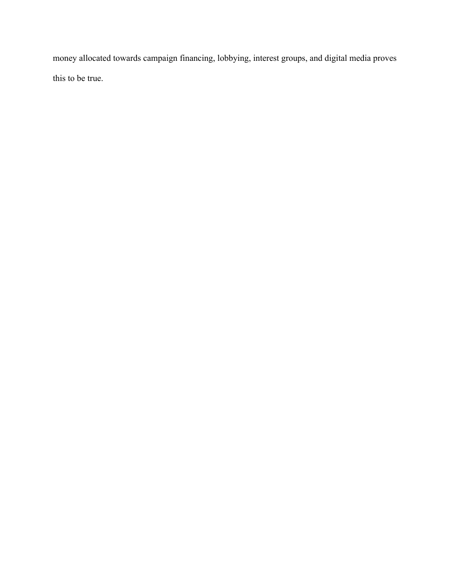money allocated towards campaign financing, lobbying, interest groups, and digital media proves this to be true.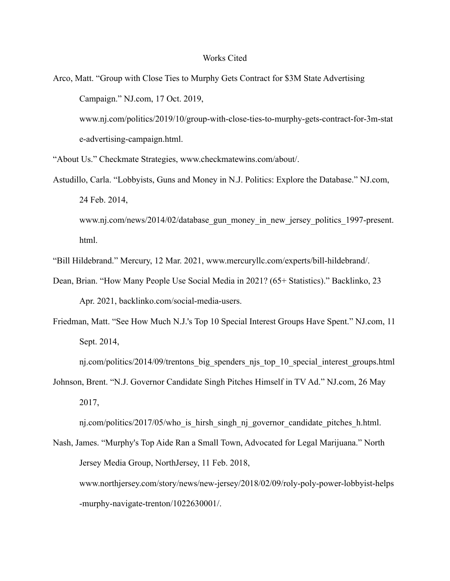## Works Cited

Arco, Matt. "Group with Close Ties to Murphy Gets Contract for \$3M State Advertising Campaign." NJ.com, 17 Oct. 2019, www.nj.com/politics/2019/10/group-with-close-ties-to-murphy-gets-contract-for-3m-stat e-advertising-campaign.html.

"About Us." Checkmate Strategies, www.checkmatewins.com/about/.

Astudillo, Carla. "Lobbyists, Guns and Money in N.J. Politics: Explore the Database." NJ.com, 24 Feb. 2014, www.nj.com/news/2014/02/database\_gun\_money\_in\_new\_jersey\_politics\_1997-present. html.

"Bill Hildebrand." Mercury, 12 Mar. 2021, www.mercuryllc.com/experts/bill-hildebrand/.

- Dean, Brian. "How Many People Use Social Media in 2021? (65+ Statistics)." Backlinko, 23 Apr. 2021, backlinko.com/social-media-users.
- Friedman, Matt. "See How Much N.J.'s Top 10 Special Interest Groups Have Spent." NJ.com, 11 Sept. 2014,

nj.com/politics/2014/09/trentons\_big\_spenders\_njs\_top\_10\_special\_interest\_groups.html

Johnson, Brent. "N.J. Governor Candidate Singh Pitches Himself in TV Ad." NJ.com, 26 May 2017,

nj.com/politics/2017/05/who is hirsh singh nj governor candidate pitches h.html.

Nash, James. "Murphy's Top Aide Ran a Small Town, Advocated for Legal Marijuana." North Jersey Media Group, NorthJersey, 11 Feb. 2018, www.northjersey.com/story/news/new-jersey/2018/02/09/roly-poly-power-lobbyist-helps -murphy-navigate-trenton/1022630001/.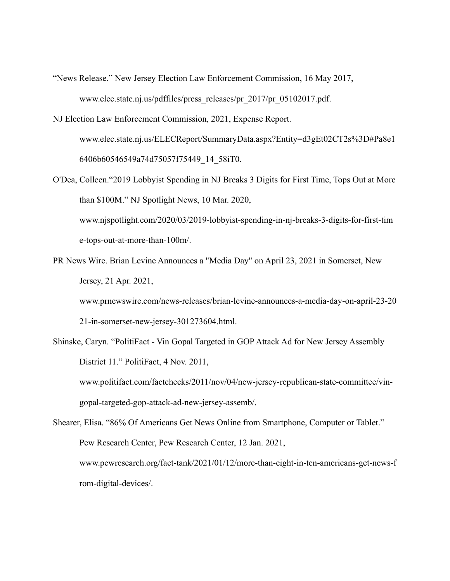"News Release." New Jersey Election Law Enforcement Commission, 16 May 2017, www.elec.state.nj.us/pdffiles/press\_releases/pr\_2017/pr\_05102017.pdf.

- NJ Election Law Enforcement Commission, 2021, Expense Report. www.elec.state.nj.us/ELECReport/SummaryData.aspx?Entity=d3gEt02CT2s%3D#Pa8e1 6406b60546549a74d75057f75449\_14\_58iT0.
- O'Dea, Colleen."2019 Lobbyist Spending in NJ Breaks 3 Digits for First Time, Tops Out at More than \$100M." NJ Spotlight News, 10 Mar. 2020,

www.njspotlight.com/2020/03/2019-lobbyist-spending-in-nj-breaks-3-digits-for-first-tim e-tops-out-at-more-than-100m/.

PR News Wire. Brian Levine Announces a "Media Day" on April 23, 2021 in Somerset, New Jersey, 21 Apr. 2021,

www.prnewswire.com/news-releases/brian-levine-announces-a-media-day-on-april-23-20

21-in-somerset-new-jersey-301273604.html.

Shinske, Caryn. "PolitiFact - Vin Gopal Targeted in GOP Attack Ad for New Jersey Assembly District 11." PolitiFact, 4 Nov. 2011,

www.politifact.com/factchecks/2011/nov/04/new-jersey-republican-state-committee/vingopal-targeted-gop-attack-ad-new-jersey-assemb/.

Shearer, Elisa. "86% Of Americans Get News Online from Smartphone, Computer or Tablet." Pew Research Center, Pew Research Center, 12 Jan. 2021, www.pewresearch.org/fact-tank/2021/01/12/more-than-eight-in-ten-americans-get-news-f rom-digital-devices/.